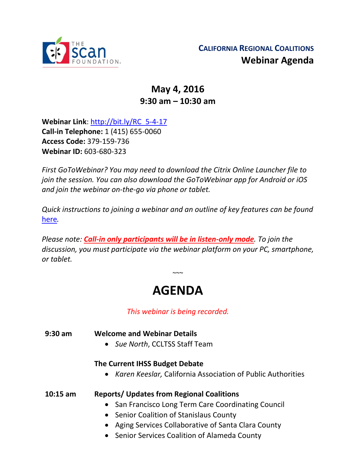

# **May 4, 2016 9:30 am – 10:30 am**

**Webinar Link**: [http://bit.ly/RC\\_5-4-17](http://bit.ly/RC_5-4-17) **Call-in Telephone:** 1 (415) 655-0060 **Access Code:** 379-159-736 **Webinar ID:** 603-680-323

*First GoToWebinar? You may need to download the Citrix Online Launcher file to join the session. You can also download the GoToWebinar app for Android or iOS and join the webinar on-the-go via phone or tablet.* 

*Quick instructions to joining a webinar and an outline of key features can be found*  [here](http://thescanfoundationsummit.homestead.com/GoToWebinar_Participant_Guide_3.pdf)*.*

*Please note: Call-in only participants will be in listen-only mode. To join the discussion, you must participate via the webinar platform on your PC, smartphone, or tablet.* 

# **AGENDA**

 $\sim$   $\sim$ 

*This webinar is being recorded.*

### **9:30 am Welcome and Webinar Details**

• *Sue North*, CCLTSS Staff Team

## **The Current IHSS Budget Debate**

• *Karen Keeslar,* California Association of Public Authorities

**10:15 am Reports/ Updates from Regional Coalitions** 

- San Francisco Long Term Care Coordinating Council
- Senior Coalition of Stanislaus County
- Aging Services Collaborative of Santa Clara County
- Senior Services Coalition of Alameda County